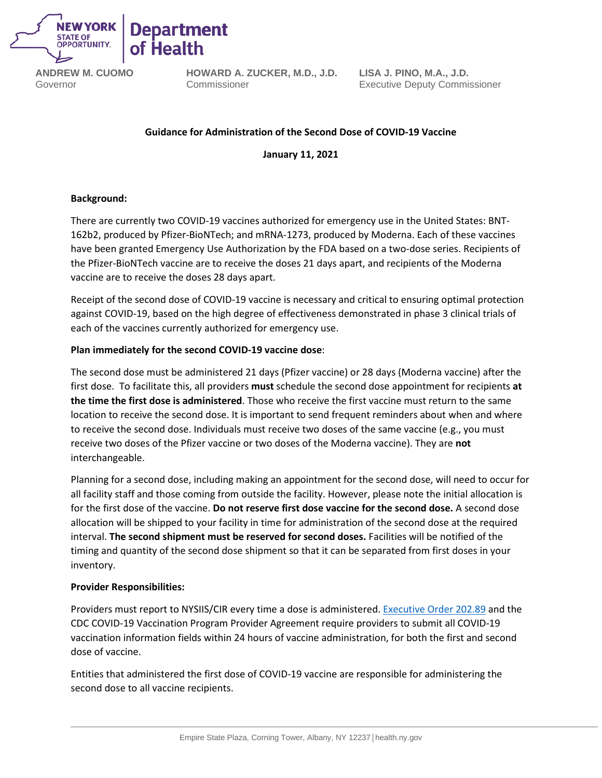

**ANDREW M. CUOMO** Governor

**HOWARD A. ZUCKER, M.D., J.D.** Commissioner

**LISA J. PINO, M.A., J.D.** Executive Deputy Commissioner

# **Guidance for Administration of the Second Dose of COVID-19 Vaccine**

**January 11, 2021**

# **Background:**

There are currently two COVID-19 vaccines authorized for emergency use in the United States: BNT-162b2, produced by Pfizer-BioNTech; and mRNA-1273, produced by Moderna. Each of these vaccines have been granted Emergency Use Authorization by the FDA based on a two-dose series. Recipients of the Pfizer-BioNTech vaccine are to receive the doses 21 days apart, and recipients of the Moderna vaccine are to receive the doses 28 days apart.

Receipt of the second dose of COVID-19 vaccine is necessary and critical to ensuring optimal protection against COVID-19, based on the high degree of effectiveness demonstrated in phase 3 clinical trials of each of the vaccines currently authorized for emergency use.

# **Plan immediately for the second COVID-19 vaccine dose**:

The second dose must be administered 21 days (Pfizer vaccine) or 28 days (Moderna vaccine) after the first dose. To facilitate this, all providers **must** schedule the second dose appointment for recipients **at the time the first dose is administered**. Those who receive the first vaccine must return to the same location to receive the second dose. It is important to send frequent reminders about when and where to receive the second dose. Individuals must receive two doses of the same vaccine (e.g., you must receive two doses of the Pfizer vaccine or two doses of the Moderna vaccine). They are **not** interchangeable.

Planning for a second dose, including making an appointment for the second dose, will need to occur for all facility staff and those coming from outside the facility. However, please note the initial allocation is for the first dose of the vaccine. **Do not reserve first dose vaccine for the second dose.** A second dose allocation will be shipped to your facility in time for administration of the second dose at the required interval. **The second shipment must be reserved for second doses.** Facilities will be notified of the timing and quantity of the second dose shipment so that it can be separated from first doses in your inventory.

#### **Provider Responsibilities:**

Providers must report to NYSIIS/CIR every time a dose is administered[. Executive Order 202.89](https://www.governor.ny.gov/news/no-20289-continuing-temporary-suspension-and-modification-laws-relating-disaster-emergency) and the CDC COVID-19 Vaccination Program Provider Agreement require providers to submit all COVID-19 vaccination information fields within 24 hours of vaccine administration, for both the first and second dose of vaccine.

Entities that administered the first dose of COVID-19 vaccine are responsible for administering the second dose to all vaccine recipients.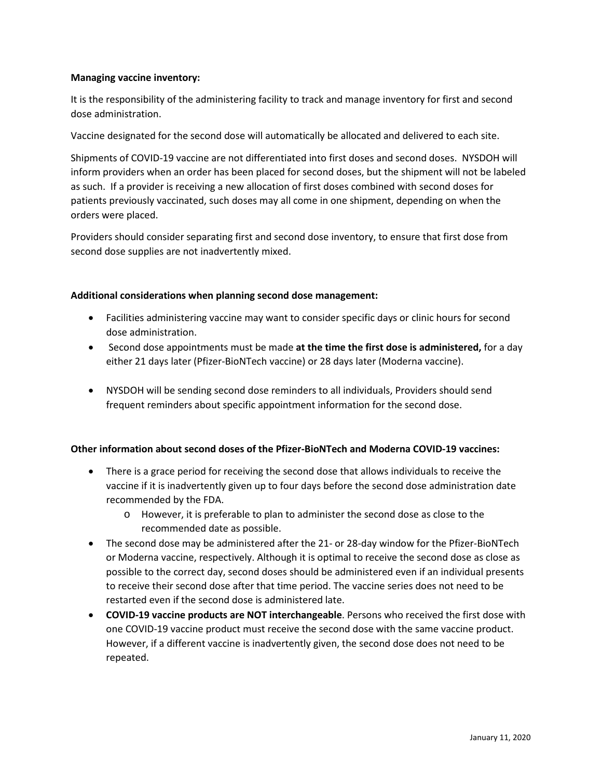## **Managing vaccine inventory:**

It is the responsibility of the administering facility to track and manage inventory for first and second dose administration.

Vaccine designated for the second dose will automatically be allocated and delivered to each site.

Shipments of COVID-19 vaccine are not differentiated into first doses and second doses. NYSDOH will inform providers when an order has been placed for second doses, but the shipment will not be labeled as such. If a provider is receiving a new allocation of first doses combined with second doses for patients previously vaccinated, such doses may all come in one shipment, depending on when the orders were placed.

Providers should consider separating first and second dose inventory, to ensure that first dose from second dose supplies are not inadvertently mixed.

#### **Additional considerations when planning second dose management:**

- Facilities administering vaccine may want to consider specific days or clinic hours for second dose administration.
- Second dose appointments must be made **at the time the first dose is administered,** for a day either 21 days later (Pfizer-BioNTech vaccine) or 28 days later (Moderna vaccine).
- NYSDOH will be sending second dose reminders to all individuals, Providers should send frequent reminders about specific appointment information for the second dose.

# **Other information about second doses of the Pfizer-BioNTech and Moderna COVID-19 vaccines:**

- There is a grace period for receiving the second dose that allows individuals to receive the vaccine if it is inadvertently given up to four days before the second dose administration date recommended by the FDA.
	- o However, it is preferable to plan to administer the second dose as close to the recommended date as possible.
- The second dose may be administered after the 21- or 28-day window for the Pfizer-BioNTech or Moderna vaccine, respectively. Although it is optimal to receive the second dose as close as possible to the correct day, second doses should be administered even if an individual presents to receive their second dose after that time period. The vaccine series does not need to be restarted even if the second dose is administered late.
- **COVID-19 vaccine products are NOT interchangeable**. Persons who received the first dose with one COVID-19 vaccine product must receive the second dose with the same vaccine product. However, if a different vaccine is inadvertently given, the second dose does not need to be repeated.